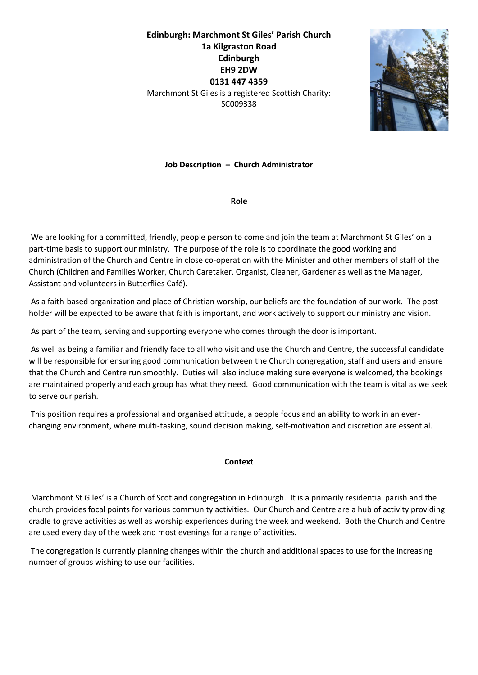# **Edinburgh: Marchmont St Giles' Parish Church 1a Kilgraston Road Edinburgh EH9 2DW 0131 447 4359** Marchmont St Giles is a registered Scottish Charity: SC009338



**Job Description – Church Administrator**

**Role**

We are looking for a committed, friendly, people person to come and join the team at Marchmont St Giles' on a part-time basis to support our ministry. The purpose of the role is to coordinate the good working and administration of the Church and Centre in close co-operation with the Minister and other members of staff of the Church (Children and Families Worker, Church Caretaker, Organist, Cleaner, Gardener as well as the Manager, Assistant and volunteers in Butterflies Café).

As a faith-based organization and place of Christian worship, our beliefs are the foundation of our work. The postholder will be expected to be aware that faith is important, and work actively to support our ministry and vision.

As part of the team, serving and supporting everyone who comes through the door is important.

As well as being a familiar and friendly face to all who visit and use the Church and Centre, the successful candidate will be responsible for ensuring good communication between the Church congregation, staff and users and ensure that the Church and Centre run smoothly. Duties will also include making sure everyone is welcomed, the bookings are maintained properly and each group has what they need. Good communication with the team is vital as we seek to serve our parish.

This position requires a professional and organised attitude, a people focus and an ability to work in an everchanging environment, where multi-tasking, sound decision making, self-motivation and discretion are essential.

#### **Context**

Marchmont St Giles' is a Church of Scotland congregation in Edinburgh. It is a primarily residential parish and the church provides focal points for various community activities. Our Church and Centre are a hub of activity providing cradle to grave activities as well as worship experiences during the week and weekend. Both the Church and Centre are used every day of the week and most evenings for a range of activities.

The congregation is currently planning changes within the church and additional spaces to use for the increasing number of groups wishing to use our facilities.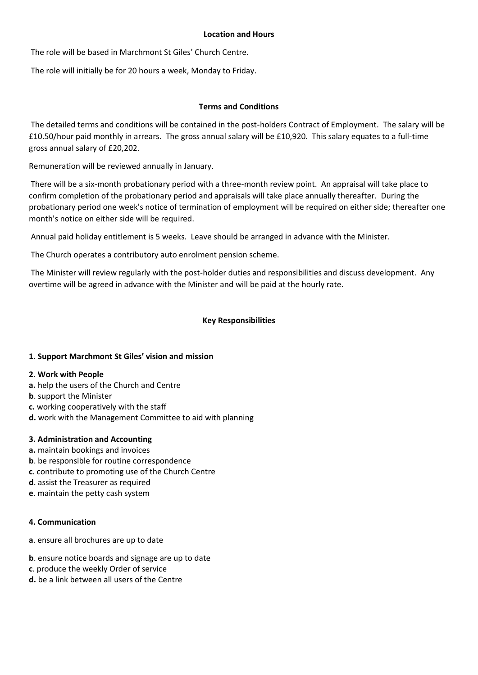#### **Location and Hours**

The role will be based in Marchmont St Giles' Church Centre.

The role will initially be for 20 hours a week, Monday to Friday.

## **Terms and Conditions**

The detailed terms and conditions will be contained in the post-holders Contract of Employment. The salary will be £10.50/hour paid monthly in arrears. The gross annual salary will be £10,920. This salary equates to a full-time gross annual salary of £20,202.

Remuneration will be reviewed annually in January.

There will be a six-month probationary period with a three-month review point. An appraisal will take place to confirm completion of the probationary period and appraisals will take place annually thereafter. During the probationary period one week's notice of termination of employment will be required on either side; thereafter one month's notice on either side will be required.

Annual paid holiday entitlement is 5 weeks. Leave should be arranged in advance with the Minister.

The Church operates a contributory auto enrolment pension scheme.

The Minister will review regularly with the post-holder duties and responsibilities and discuss development. Any overtime will be agreed in advance with the Minister and will be paid at the hourly rate.

# **Key Responsibilities**

# **1. Support Marchmont St Giles' vision and mission**

#### **2. Work with People**

- **a.** help the users of the Church and Centre
- **b**. support the Minister
- **c.** working cooperatively with the staff
- **d.** work with the Management Committee to aid with planning

#### **3. Administration and Accounting**

- **a.** maintain bookings and invoices
- **b**. be responsible for routine correspondence
- **c**. contribute to promoting use of the Church Centre
- **d**. assist the Treasurer as required
- **e**. maintain the petty cash system

#### **4. Communication**

- **a**. ensure all brochures are up to date
- **b**. ensure notice boards and signage are up to date
- **c**. produce the weekly Order of service
- **d.** be a link between all users of the Centre